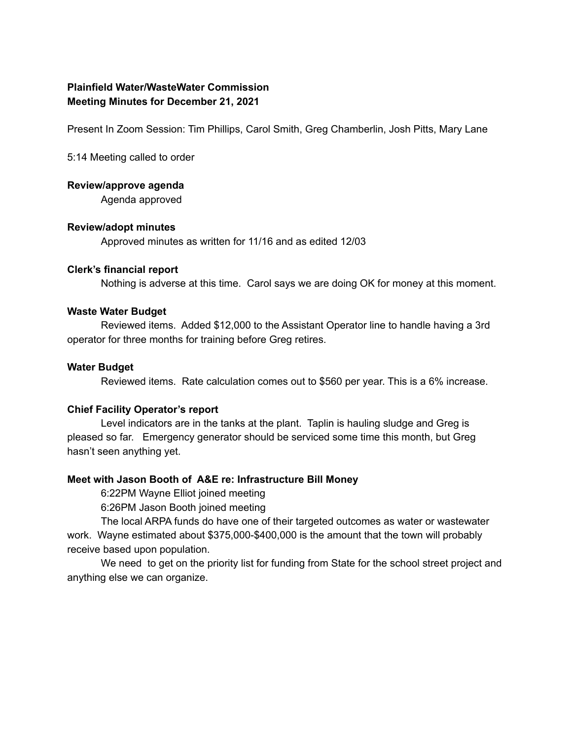## **Plainfield Water/WasteWater Commission Meeting Minutes for December 21, 2021**

Present In Zoom Session: Tim Phillips, Carol Smith, Greg Chamberlin, Josh Pitts, Mary Lane

5:14 Meeting called to order

#### **Review/approve agenda**

Agenda approved

#### **Review/adopt minutes**

Approved minutes as written for 11/16 and as edited 12/03

#### **Clerk's financial report**

Nothing is adverse at this time. Carol says we are doing OK for money at this moment.

#### **Waste Water Budget**

Reviewed items. Added \$12,000 to the Assistant Operator line to handle having a 3rd operator for three months for training before Greg retires.

#### **Water Budget**

Reviewed items. Rate calculation comes out to \$560 per year. This is a 6% increase.

### **Chief Facility Operator's report**

Level indicators are in the tanks at the plant. Taplin is hauling sludge and Greg is pleased so far. Emergency generator should be serviced some time this month, but Greg hasn't seen anything yet.

### **Meet with Jason Booth of A&E re: Infrastructure Bill Money**

6:22PM Wayne Elliot joined meeting

6:26PM Jason Booth joined meeting

The local ARPA funds do have one of their targeted outcomes as water or wastewater work. Wayne estimated about \$375,000-\$400,000 is the amount that the town will probably receive based upon population.

We need to get on the priority list for funding from State for the school street project and anything else we can organize.